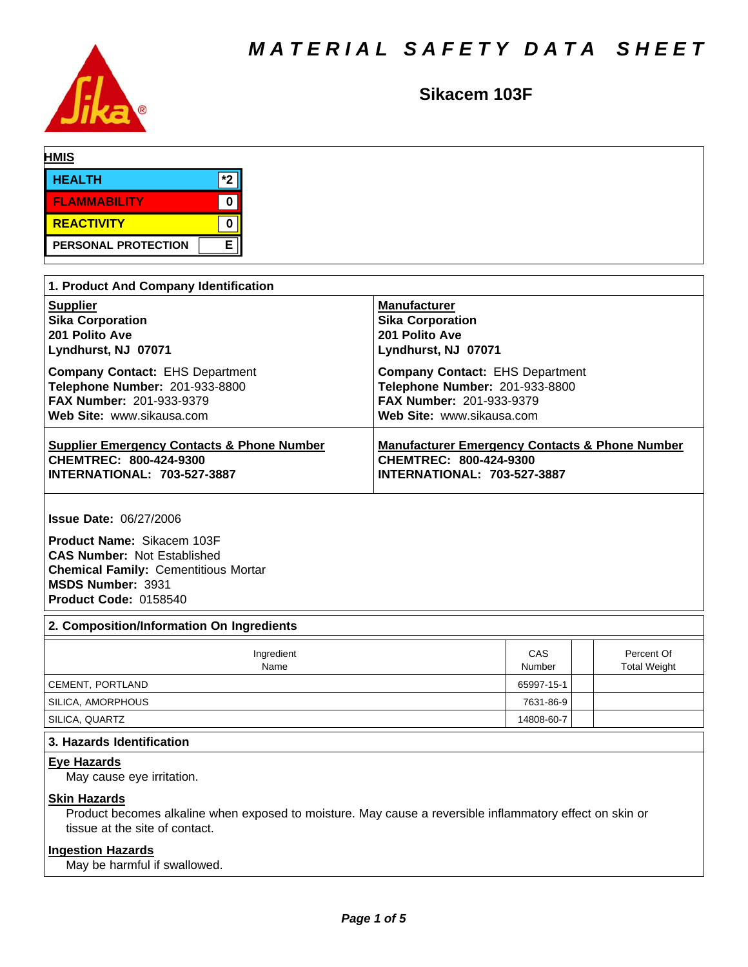

# **Sikacem 103F**

| <b>HMIS</b>       |                     |    |  |  |
|-------------------|---------------------|----|--|--|
| <b>HEALTH</b>     |                     | *2 |  |  |
|                   | <b>FLAMMABILITY</b> |    |  |  |
| <b>REACTIVITY</b> |                     |    |  |  |
|                   | PERSONAL PROTECTION | Е  |  |  |

| 1. Product And Company Identification                 |                                                           |  |  |  |  |  |
|-------------------------------------------------------|-----------------------------------------------------------|--|--|--|--|--|
| <b>Supplier</b>                                       | <b>Manufacturer</b>                                       |  |  |  |  |  |
| <b>Sika Corporation</b>                               | <b>Sika Corporation</b>                                   |  |  |  |  |  |
| 201 Polito Ave                                        | 201 Polito Ave                                            |  |  |  |  |  |
| Lyndhurst, NJ 07071                                   | Lyndhurst, NJ 07071                                       |  |  |  |  |  |
| <b>Company Contact: EHS Department</b>                | <b>Company Contact: EHS Department</b>                    |  |  |  |  |  |
| Telephone Number: 201-933-8800                        | Telephone Number: 201-933-8800                            |  |  |  |  |  |
| <b>FAX Number: 201-933-9379</b>                       | <b>FAX Number: 201-933-9379</b>                           |  |  |  |  |  |
| Web Site: www.sikausa.com                             | Web Site: www.sikausa.com                                 |  |  |  |  |  |
| <b>Supplier Emergency Contacts &amp; Phone Number</b> | <b>Manufacturer Emergency Contacts &amp; Phone Number</b> |  |  |  |  |  |
| CHEMTREC: 800-424-9300                                | CHEMTREC: 800-424-9300                                    |  |  |  |  |  |
| <b>INTERNATIONAL: 703-527-3887</b>                    | <b>INTERNATIONAL: 703-527-3887</b>                        |  |  |  |  |  |

**Issue Date:** 06/27/2006

**Product Name:** Sikacem 103F **CAS Number:** Not Established **Chemical Family:** Cementitious Mortar **MSDS Number:** 3931 **Product Code:** 0158540

## **2. Composition/Information On Ingredients**

| Ingredient<br>Name | CAS<br>Number | Percent Of<br><b>Total Weight</b> |
|--------------------|---------------|-----------------------------------|
| CEMENT, PORTLAND   | 65997-15-1    |                                   |
| SILICA, AMORPHOUS  | 7631-86-9     |                                   |
| ' SILICA, QUARTZ   | 14808-60-7    |                                   |

## **3. Hazards Identification**

### **Eye Hazards**

May cause eye irritation.

## **Skin Hazards**

Product becomes alkaline when exposed to moisture. May cause a reversible inflammatory effect on skin or tissue at the site of contact.

## **Ingestion Hazards**

May be harmful if swallowed.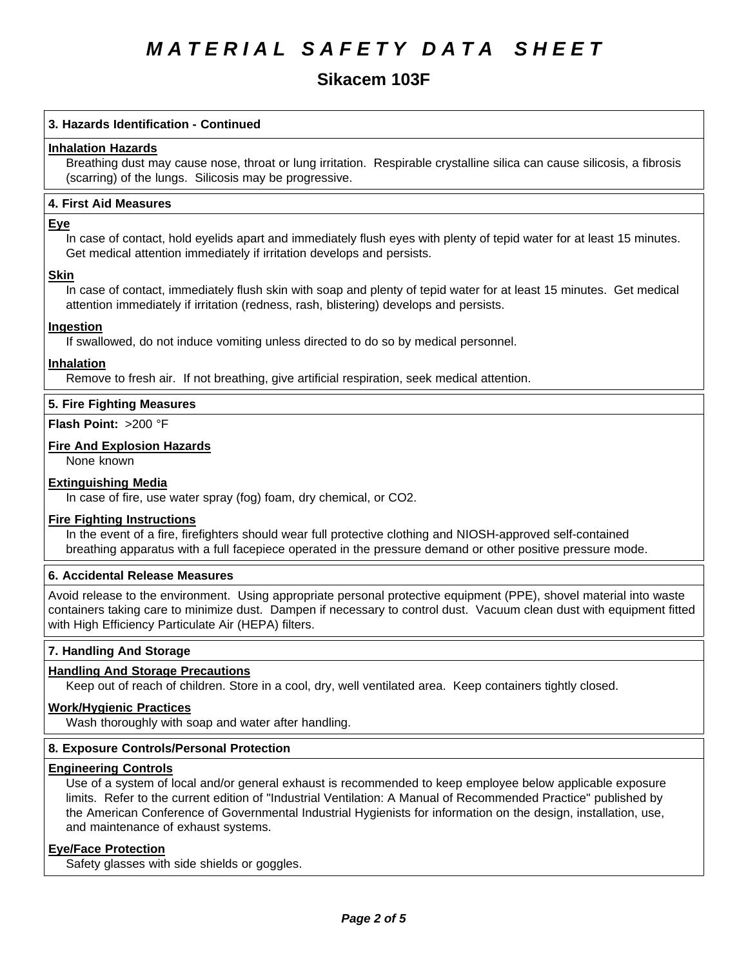## **Sikacem 103F**

## **3. Hazards Identification - Continued**

### **Inhalation Hazards**

Breathing dust may cause nose, throat or lung irritation. Respirable crystalline silica can cause silicosis, a fibrosis (scarring) of the lungs. Silicosis may be progressive.

## **4.First AidMeasures**

#### **Eye**

In case of contact, hold eyelids apart and immediately flush eyes with plenty of tepid water for at least 15 minutes. Get medical attention immediately if irritation develops and persists.

### **Skin**

In case of contact, immediately flush skin with soap and plenty of tepid water for at least 15 minutes. Get medical attention immediately if irritation (redness, rash, blistering) develops and persists.

## **Ingestion**

If swallowed, do not induce vomiting unless directed to do so by medical personnel.

### **Inhalation**

Remove to fresh air. If not breathing, give artificial respiration, seek medical attention.

## **5. Fire Fighting Measures**

**Flash Point:** >200 °F

## **Fire And Explosion Hazards**

None known

## **Extinguishing Media**

In case of fire, use water spray (fog) foam, dry chemical, or CO2.

#### **Fire Fighting Instructions**

In the event of a fire, firefighters should wear full protective clothing and NIOSH-approved self-contained breathing apparatus with a full facepiece operated in the pressure demand or other positive pressure mode.

## **6. Accidental Release Measures**

Avoid release to the environment. Using appropriate personal protective equipment (PPE), shovel material into waste containers taking care to minimize dust. Dampen if necessary to control dust. Vacuum clean dust with equipment fitted with High Efficiency Particulate Air (HEPA) filters.

## **7. Handling And Storage**

## **Handling And Storage Precautions**

Keep out of reach of children. Store in a cool, dry, well ventilated area. Keep containers tightly closed.

#### **Work/Hygienic Practices**

Wash thoroughly with soap and water after handling.

## **8. Exposure Controls/Personal Protection**

#### **Engineering Controls**

Use of a system of local and/or general exhaust is recommended to keep employee below applicable exposure limits. Refer to the current edition of "Industrial Ventilation: A Manual of Recommended Practice" published by the American Conference of Governmental Industrial Hygienists for information on the design, installation, use, and maintenance of exhaust systems.

## **Eye/Face Protection**

Safety glasses with side shields or goggles.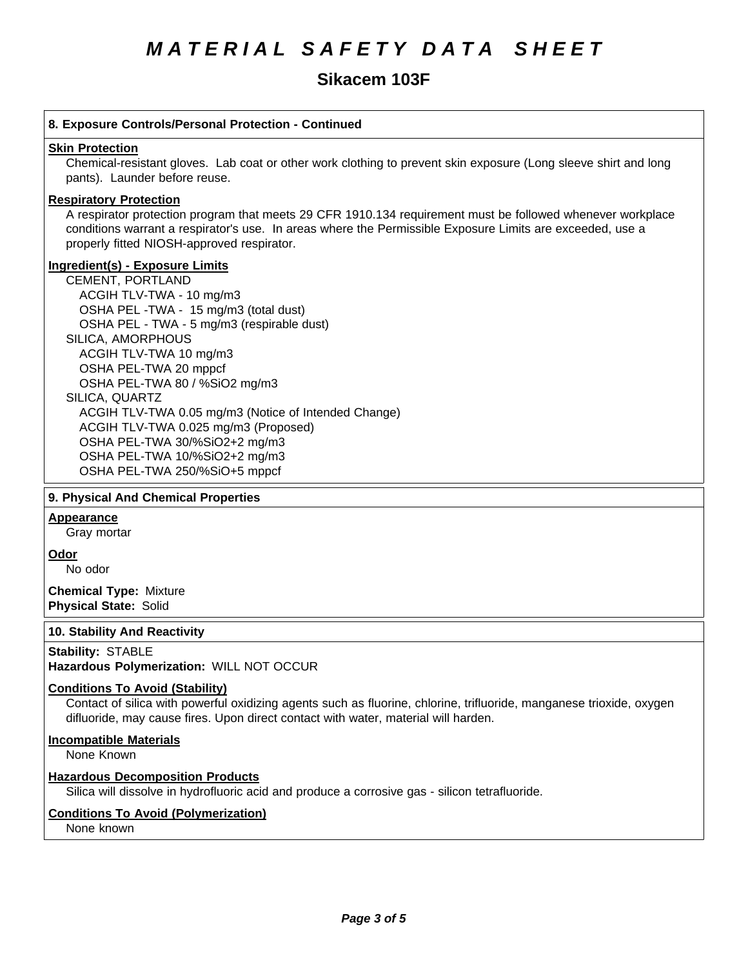## **Sikacem 103F**

## **8. Exposure Controls/Personal Protection - Continued Skin Protection** Chemical-resistant gloves. Lab coat or other work clothing to prevent skin exposure (Long sleeve shirt and long pants). Launder before reuse. **Respiratory Protection** A respirator protection program that meets 29 CFR 1910.134 requirement must be followed whenever workplace conditions warrant a respirator's use. In areas where the Permissible Exposure Limits are exceeded, use a properly fitted NIOSH-approved respirator. **Ingredient(s) - Exposure Limits** CEMENT, PORTLAND ACGIHTLV-TWA-10 mg/m3 OSHA PEL-TWA - 15 mg/m3 (total dust) OSHA PEL - TWA - 5 mg/m3 (respirable dust) SILICA, AMORPHOUS ACGIH TLV-TWA10 mg/m3 OSHA PEL-TWA 20 mppcf OSHA PEL-TWA 80 / %SiO2 mg/m3 SILICA, QUARTZ ACGIH TLV-TWA 0.05 mg/m3(Notice of Intended Change) ACGIH TLV-TWA 0.025 mg/m3 (Proposed) OSHA PEL-TWA 30/%SiO2+2 mg/m3 OSHA PEL-TWA 10/%SiO2+2 mg/m3 OSHA PEL-TWA 250/%SiO+5 mppcf

## **9. Physical And Chemical Properties**

## **Appearance**

Gray mortar

**Odor**

No odor

**Chemical Type:** Mixture **Physical State:** Solid

## **10. Stability And Reactivity**

## **Stability: STABLE**

**Hazardous Polymerization:** WILL NOT OCCUR

## **Conditions To Avoid (Stability)**

Contact of silica with powerful oxidizing agents such as fluorine, chlorine, trifluoride, manganese trioxide, oxygen difluoride, may cause fires. Upon direct contact with water, material will harden.

## **Incompatible Materials**

None Known

## **Hazardous Decomposition Products**

Silica will dissolve in hydrofluoric acid and produce a corrosive gas - silicon tetrafluoride.

## **Conditions To Avoid (Polymerization)**

None known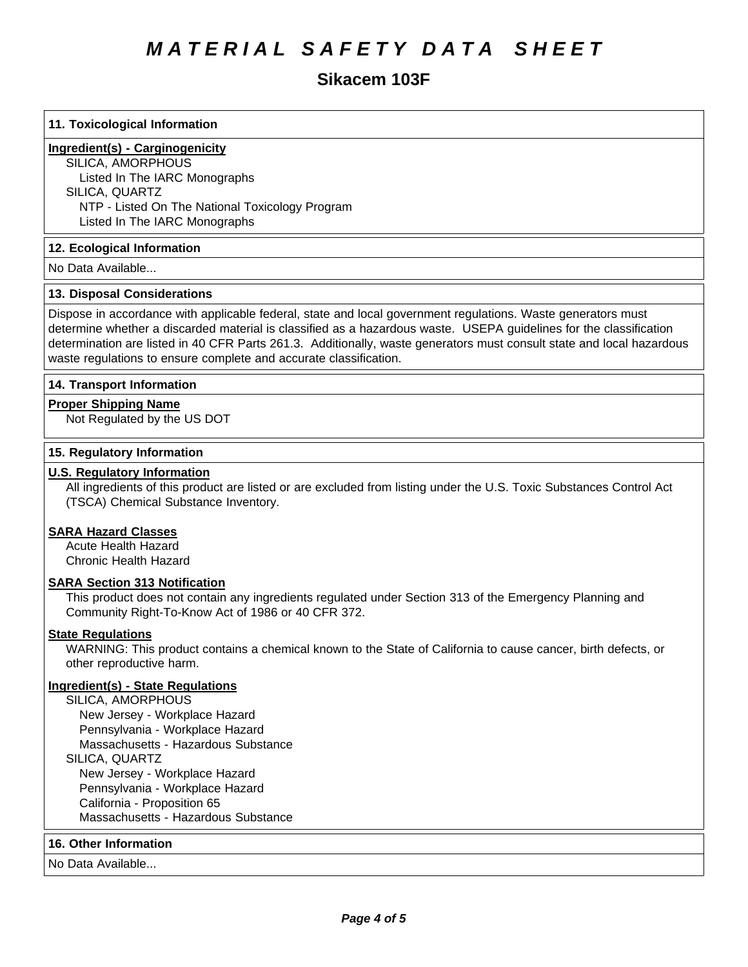# **Sikacem 103F**

## **11. Toxicological Information**

## **Ingredient(s) - Carginogenicity**

SILICA, AMORPHOUS Listed In The IARC Monographs SILICA, QUARTZ NTP - Listed On The National Toxicology Program Listed In The IARC Monographs

## **12. Ecological Information**

No Data Available...

### **13. Disposal Considerations**

Dispose in accordance with applicable federal, state and local government regulations. Waste generators must determine whether a discarded material is classified as a hazardous waste. USEPA guidelines for the classification determination are listed in 40 CFR Parts 261.3. Additionally, waste generators must consult state and local hazardous waste regulations to ensure complete and accurate classification.

## **14. Transport Information**

### **Proper Shipping Name**

Not Regulated by the US DOT

### **15. Regulatory Information**

## **U.S. Regulatory Information**

All ingredients of this product are listed or are excluded from listing under the U.S. Toxic Substances Control Act (TSCA) Chemical Substance Inventory.

## **SARA Hazard Classes**

Acute Health Hazard Chronic Health Hazard

## **SARA Section 313 Notification**

This product does not contain any ingredients regulated under Section 313 of the Emergency Planning and Community Right-To-Know Act of 1986 or 40 CFR 372.

## **State Regulations**

WARNING: This product contains a chemical known to the State of California to cause cancer, birth defects, or other reproductive harm.

## **Ingredient(s) - State Regulations**

SILICA, AMORPHOUS New Jersey - Workplace Hazard Pennsylvania - Workplace Hazard Massachusetts - Hazardous Substance SILICA, QUARTZ New Jersey - Workplace Hazard Pennsylvania - Workplace Hazard California - Proposition 65 Massachusetts - Hazardous Substance

#### **16. Other Information**

No Data Available...